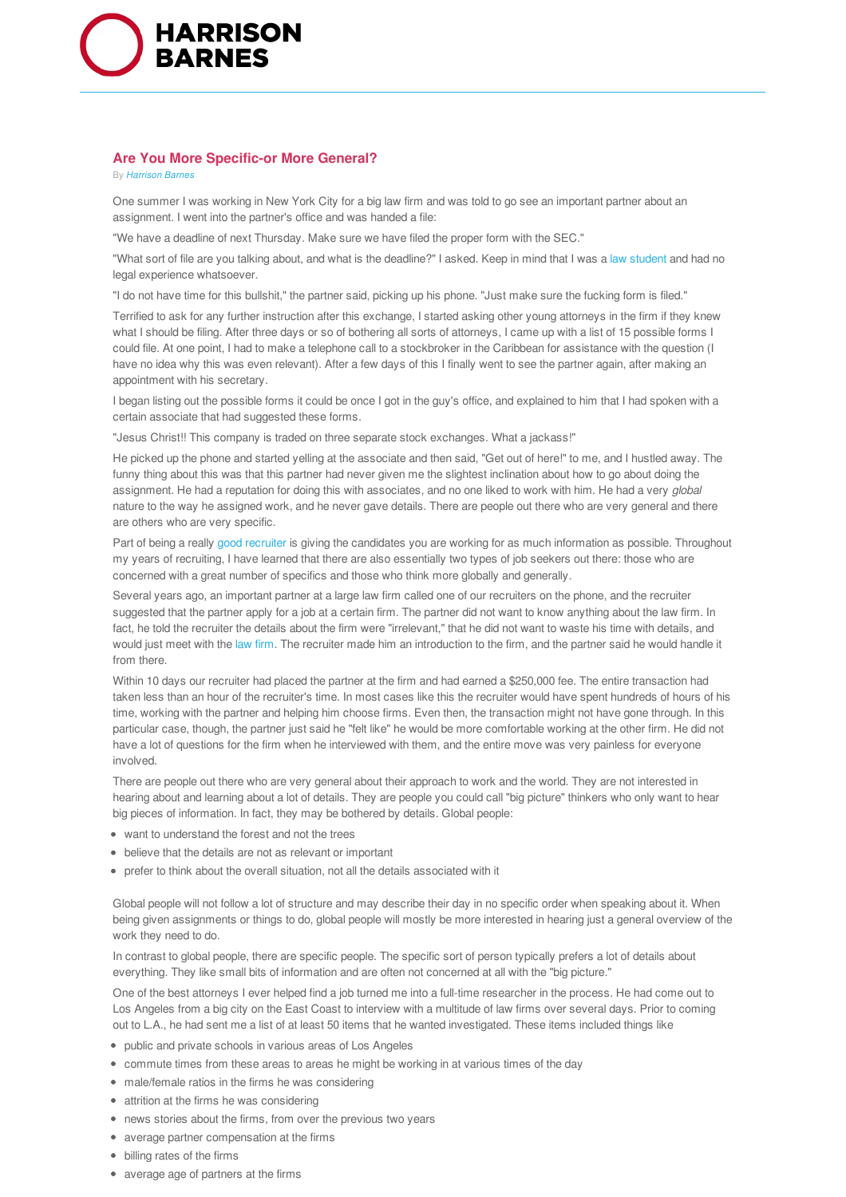

## **Are You More Specific-or More General?**

By *Harrison Barnes*

One summer I was working in New York City for a big law firm and was told to go see an important partner about an assignment. I went into the partner's office and was handed a file:

"We have a deadline of next Thursday. Make sure we have filed the proper form with the SEC."

"What sort of file are you talking about, and what is the deadline?" I asked. Keep in mind that I was a law student and had no legal experience whatsoever.

"I do not have time for this bullshit," the partner said, picking up his phone. "Just make sure the fucking form is filed."

Terrified to ask for any further instruction after this exchange, I started asking other young attorneys in the firm if they knew what I should be filing. After three days or so of bothering all sorts of attorneys, I came up with a list of 15 possible forms I could file. At one point, I had to make a telephone call to a stockbroker in the Caribbean for assistance with the question (I have no idea why this was even relevant). After a few days of this I finally went to see the partner again, after making an appointment with his secretary.

I began listing out the possible forms it could be once I got in the guy's office, and explained to him that I had spoken with a certain associate that had suggested these forms.

"Jesus Christ!! This company is traded on three separate stock exchanges. What a jackass!"

He picked up the phone and started yelling at the associate and then said, "Get out of here!" to me, and I hustled away. The funny thing about this was that this partner had never given me the slightest inclination about how to go about doing the assignment. He had a reputation for doing this with associates, and no one liked to work with him. He had a very *global* nature to the way he assigned work, and he never gave details. There are people out there who are very general and there are others who are very specific.

Part of being a really good recruiter is giving the candidates you are working for as much information as possible. Throughout my years of recruiting, I have learned that there are also essentially two types of job seekers out there: those who are concerned with a great number of specifics and those who think more globally and generally.

Several years ago, an important partner at a large law firm called one of our recruiters on the phone, and the recruiter suggested that the partner apply for a job at a certain firm. The partner did not want to know anything about the law firm. In fact, he told the recruiter the details about the firm were "irrelevant," that he did not want to waste his time with details, and would just meet with the law firm. The recruiter made him an introduction to the firm, and the partner said he would handle it from there.

Within 10 days our recruiter had placed the partner at the firm and had earned a \$250,000 fee. The entire transaction had taken less than an hour of the recruiter's time. In most cases like this the recruiter would have spent hundreds of hours of his time, working with the partner and helping him choose firms. Even then, the transaction might not have gone through. In this particular case, though, the partner just said he "felt like" he would be more comfortable working at the other firm. He did not have a lot of questions for the firm when he interviewed with them, and the entire move was very painless for everyone involved.

There are people out there who are very general about their approach to work and the world. They are not interested in hearing about and learning about a lot of details. They are people you could call "big picture" thinkers who only want to hear big pieces of information. In fact, they may be bothered by details. Global people:

- want to understand the forest and not the trees
- believe that the details are not as relevant or important
- prefer to think about the overall situation, not all the details associated with it

Global people will not follow a lot of structure and may describe their day in no specific order when speaking about it. When being given assignments or things to do, global people will mostly be more interested in hearing just a general overview of the work they need to do.

In contrast to global people, there are specific people. The specific sort of person typically prefers a lot of details about everything. They like small bits of information and are often not concerned at all with the "big picture."

One of the best attorneys I ever helped find a job turned me into a full-time researcher in the process. He had come out to Los Angeles from a big city on the East Coast to interview with a multitude of law firms over several days. Prior to coming out to L.A., he had sent me a list of at least 50 items that he wanted investigated. These items included things like

- public and private schools in various areas of Los Angeles
- commute times from these areas to areas he might be working in at various times of the day
- male/female ratios in the firms he was considering
- attrition at the firms he was considering
- news stories about the firms, from over the previous two years
- average partner compensation at the firms
- billing rates of the firms
- average age of partners at the firms